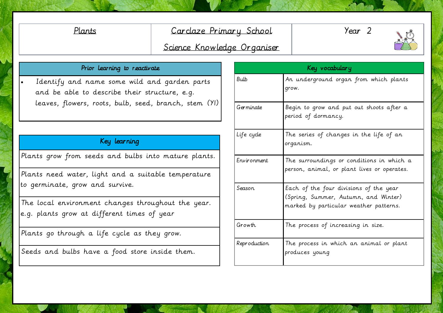## Plants Carclaze Primary School

Year 2

## Science Knowledge Organiser

### Prior learning to reactivate

 Identify and name some wild and garden parts and be able to describe their structure, e.g. leaves, flowers, roots, bulb, seed, branch, stem (Y1)

### Key learning

Plants grow from seeds and bulbs into mature plants.

Plants need water, light and a suitable temperature to germinate, grow and survive.

The local environment changes throughout the year. e.g. plants grow at different times of year

Plants go through a life cycle as they grow.

Seeds and bulbs have a food store inside them.

| Key vocabulary |                                                                                                                          |
|----------------|--------------------------------------------------------------------------------------------------------------------------|
| <b>Bulb</b>    | An underground organ from which plants<br>grow.                                                                          |
| Germinate      | Begin to grow and put out shoots after a<br>period of dormancy.                                                          |
| Life cyde      | The series of changes in the life of an<br>organism.                                                                     |
| Environment    | The surroundings or conditions in which a<br>person, animal, or plant lives or operates.                                 |
| Season         | Each of the four divisions of the year<br>(Spring, Summer, Autumn, and Winter)<br>marked by particular weather patterns. |
| Growth         | The process of increasing in size.                                                                                       |
| Reproduction   | The process in which an animal or plant<br>produces young                                                                |